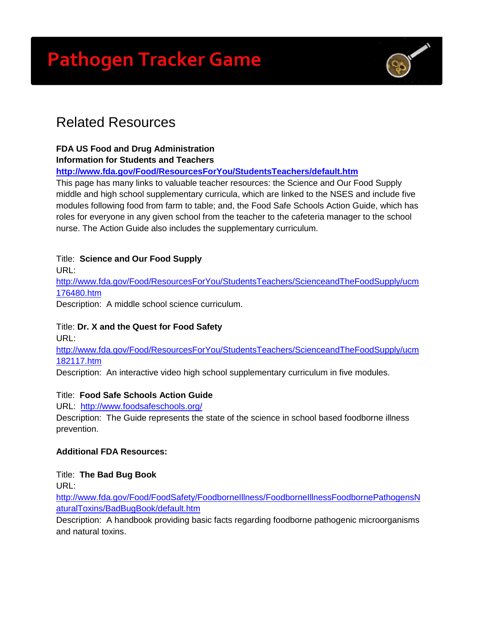# **Pathogen Tracker Game**



# Related Resources

# **FDA US Food and Drug Administration**

#### **Information for Students and Teachers**

# **<http://www.fda.gov/Food/ResourcesForYou/StudentsTeachers/default.htm>**

This page has many links to valuable teacher resources: the Science and Our Food Supply middle and high school supplementary curricula, which are linked to the NSES and include five modules following food from farm to table; and, the Food Safe Schools Action Guide, which has roles for everyone in any given school from the teacher to the cafeteria manager to the school nurse. The Action Guide also includes the supplementary curriculum.

# Title: **Science and Our Food Supply**

URL:

[http://www.fda.gov/Food/ResourcesForYou/StudentsTeachers/ScienceandTheFoodSupply/ucm](http://www.fda.gov/Food/ResourcesForYou/StudentsTeachers/ScienceandTheFoodSupply/ucm176480.htm) [176480.htm](http://www.fda.gov/Food/ResourcesForYou/StudentsTeachers/ScienceandTheFoodSupply/ucm176480.htm)

Description: A middle school science curriculum.

# Title: **Dr. X and the Quest for Food Safety**

URL:

[http://www.fda.gov/Food/ResourcesForYou/StudentsTeachers/ScienceandTheFoodSupply/ucm](http://www.fda.gov/Food/ResourcesForYou/StudentsTeachers/ScienceandTheFoodSupply/ucm182117.htm) [182117.htm](http://www.fda.gov/Food/ResourcesForYou/StudentsTeachers/ScienceandTheFoodSupply/ucm182117.htm)

Description: An interactive video high school supplementary curriculum in five modules.

# Title: **Food Safe Schools Action Guide**

URL: <http://www.foodsafeschools.org/>

Description: The Guide represents the state of the science in school based foodborne illness prevention.

# **Additional FDA Resources:**

Title: **The Bad Bug Book**

URL:

[http://www.fda.gov/Food/FoodSafety/FoodborneIllness/FoodborneIllnessFoodbornePathogensN](http://www.fda.gov/Food/FoodSafety/FoodborneIllness/FoodborneIllnessFoodbornePathogensNaturalToxins/BadBugBook/default.htm) [aturalToxins/BadBugBook/default.htm](http://www.fda.gov/Food/FoodSafety/FoodborneIllness/FoodborneIllnessFoodbornePathogensNaturalToxins/BadBugBook/default.htm)

Description: A handbook providing basic facts regarding foodborne pathogenic microorganisms and natural toxins.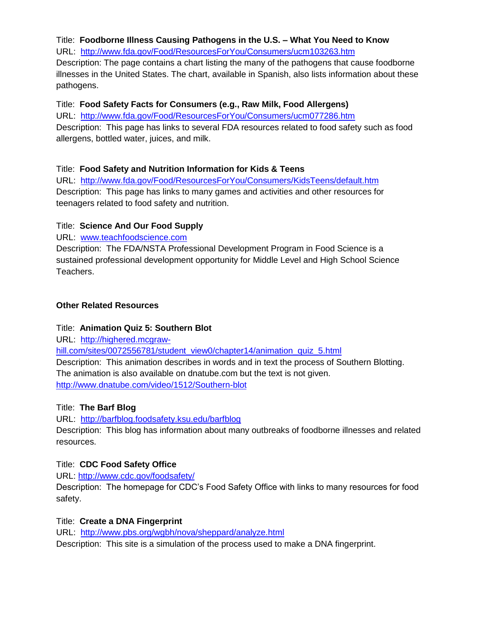# Title: **Foodborne Illness Causing Pathogens in the U.S. – What You Need to Know**

URL: <http://www.fda.gov/Food/ResourcesForYou/Consumers/ucm103263.htm>

Description: The page contains a chart listing the many of the pathogens that cause foodborne illnesses in the United States. The chart, available in Spanish, also lists information about these pathogens.

#### Title: **Food Safety Facts for Consumers (e.g., Raw Milk, Food Allergens)**

URL: <http://www.fda.gov/Food/ResourcesForYou/Consumers/ucm077286.htm> Description: This page has links to several FDA resources related to food safety such as food allergens, bottled water, juices, and milk.

# Title: **Food Safety and Nutrition Information for Kids & Teens**

URL: <http://www.fda.gov/Food/ResourcesForYou/Consumers/KidsTeens/default.htm> Description: This page has links to many games and activities and other resources for teenagers related to food safety and nutrition.

# Title: **Science And Our Food Supply**

URL: [www.teachfoodscience.com](http://www.teachfoodscience.com/)

Description: The FDA/NSTA Professional Development Program in Food Science is a sustained professional development opportunity for Middle Level and High School Science Teachers.

# **Other Related Resources**

# Title: **Animation Quiz 5: Southern Blot**

URL: [http://highered.mcgraw-](http://highered.mcgraw-hill.com/sites/0072556781/student_view0/chapter14/animation_quiz_5.html)

[hill.com/sites/0072556781/student\\_view0/chapter14/animation\\_quiz\\_5.html](http://highered.mcgraw-hill.com/sites/0072556781/student_view0/chapter14/animation_quiz_5.html)

Description: This animation describes in words and in text the process of Southern Blotting. The animation is also available on dnatube.com but the text is not given. <http://www.dnatube.com/video/1512/Southern-blot>

# Title: **The Barf Blog**

URL: <http://barfblog.foodsafety.ksu.edu/barfblog>

Description: This blog has information about many outbreaks of foodborne illnesses and related resources.

# Title: **CDC Food Safety Office**

URL:<http://www.cdc.gov/foodsafety/>

Description: The homepage for CDC's Food Safety Office with links to many resources for food safety.

# Title: **Create a DNA Fingerprint**

URL: <http://www.pbs.org/wgbh/nova/sheppard/analyze.html>

Description: This site is a simulation of the process used to make a DNA fingerprint.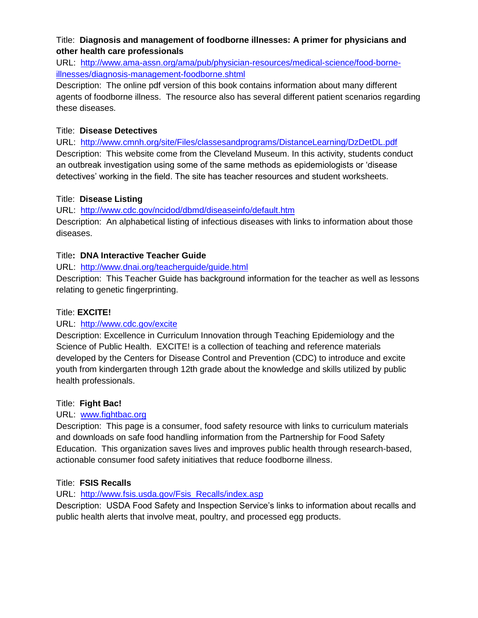# Title: **Diagnosis and management of foodborne illnesses: A primer for physicians and other health care professionals**

URL: [http://www.ama-assn.org/ama/pub/physician-resources/medical-science/food-borne](http://www.ama-assn.org/ama/pub/physician-resources/medical-science/food-borne-illnesses/diagnosis-management-foodborne.shtml)[illnesses/diagnosis-management-foodborne.shtml](http://www.ama-assn.org/ama/pub/physician-resources/medical-science/food-borne-illnesses/diagnosis-management-foodborne.shtml)

Description: The online pdf version of this book contains information about many different agents of foodborne illness. The resource also has several different patient scenarios regarding these diseases.

#### Title: **Disease Detectives**

URL: <http://www.cmnh.org/site/Files/classesandprograms/DistanceLearning/DzDetDL.pdf> Description: This website come from the Cleveland Museum. In this activity, students conduct an outbreak investigation using some of the same methods as epidemiologists or 'disease detectives' working in the field. The site has teacher resources and student worksheets.

# Title: **Disease Listing**

URL: <http://www.cdc.gov/ncidod/dbmd/diseaseinfo/default.htm>

Description: An alphabetical listing of infectious diseases with links to information about those diseases.

# Title**: DNA Interactive Teacher Guide**

URL: <http://www.dnai.org/teacherguide/guide.html>

Description: This Teacher Guide has background information for the teacher as well as lessons relating to genetic fingerprinting.

# Title: **EXCITE!**

# URL: <http://www.cdc.gov/excite>

Description: Excellence in Curriculum Innovation through Teaching Epidemiology and the Science of Public Health. EXCITE! is a collection of teaching and reference materials developed by the Centers for Disease Control and Prevention (CDC) to introduce and excite youth from kindergarten through 12th grade about the knowledge and skills utilized by public health professionals.

# Title: **Fight Bac!**

# URL: [www.fightbac.org](http://www.fightbac.org/)

Description: This page is a consumer, food safety resource with links to curriculum materials and downloads on safe food handling information from the Partnership for Food Safety Education. This organization saves lives and improves public health through research-based, actionable consumer food safety initiatives that reduce foodborne illness.

# Title: **FSIS Recalls**

# URL: [http://www.fsis.usda.gov/Fsis\\_Recalls/index.asp](http://www.fsis.usda.gov/Fsis_Recalls/index.asp)

Description: USDA Food Safety and Inspection Service's links to information about recalls and public health alerts that involve meat, poultry, and processed egg products.